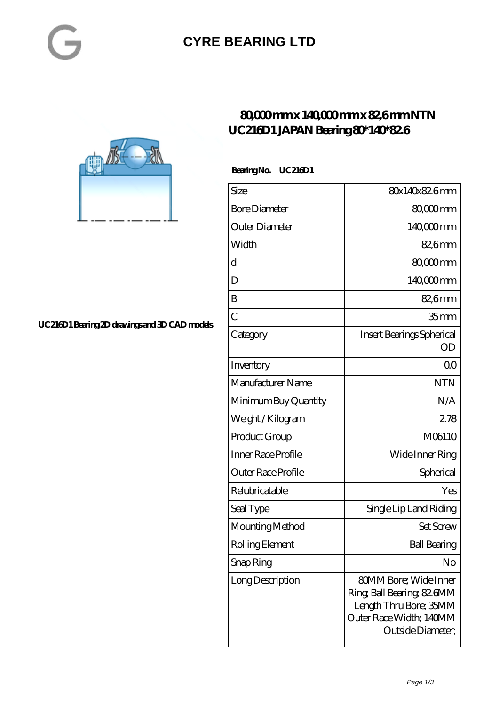### **[CYRE BEARING LTD](https://kxt-bearing.com)**



 **Bearing No. UC216D1**

| Size                      | 80x140x82.6mm                                                                                                                        |
|---------------------------|--------------------------------------------------------------------------------------------------------------------------------------|
| <b>Bore Diameter</b>      | 80,000mm                                                                                                                             |
| Outer Diameter            | 140,000 mm                                                                                                                           |
| Width                     | 82,6mm                                                                                                                               |
| d                         | 80,000mm                                                                                                                             |
| D                         | 140000mm                                                                                                                             |
| B                         | 82,6mm                                                                                                                               |
| $\overline{C}$            | 35 mm                                                                                                                                |
| Category                  | Insert Bearings Spherical<br>OD                                                                                                      |
| Inventory                 | Q0                                                                                                                                   |
| Manufacturer Name         | <b>NTN</b>                                                                                                                           |
| Minimum Buy Quantity      | N/A                                                                                                                                  |
| Weight/Kilogram           | 278                                                                                                                                  |
| Product Group             | M06110                                                                                                                               |
| <b>Inner Race Profile</b> | Wide Inner Ring                                                                                                                      |
| Outer Race Profile        | Spherical                                                                                                                            |
| Relubricatable            | Yes                                                                                                                                  |
| Seal Type                 | Single Lip Land Riding                                                                                                               |
| Mounting Method           | <b>Set Screw</b>                                                                                                                     |
| Rolling Element           | <b>Ball Bearing</b>                                                                                                                  |
| Snap Ring                 | No                                                                                                                                   |
| Long Description          | <b>80MM Bore; Wide Inner</b><br>Ring, Ball Bearing, 82 GMM<br>Length Thru Bore; 35MM<br>Outer Race Width; 140MM<br>Outside Diameter; |



**[UC216D1 Bearing 2D drawings and 3D CAD models](https://kxt-bearing.com/pic-315271.html)**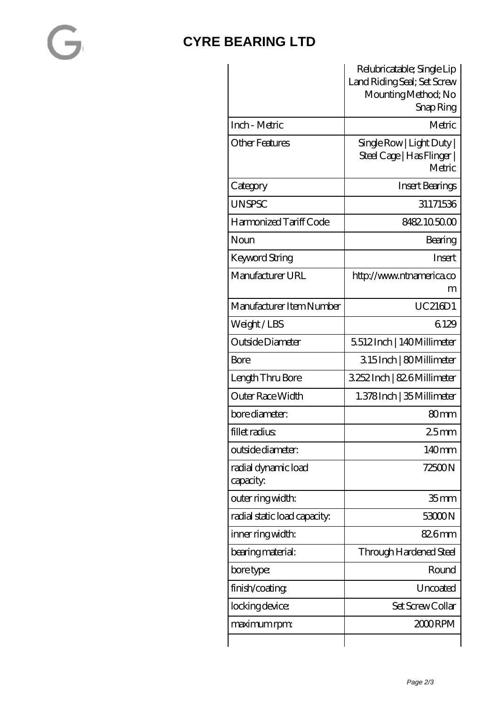### **[CYRE BEARING LTD](https://kxt-bearing.com)**

|                                  | Relubricatable; Single Lip<br>Land Riding Seal; Set Screw<br>Mounting Method; No |
|----------------------------------|----------------------------------------------------------------------------------|
|                                  | Snap Ring                                                                        |
| Inch - Metric                    | Metric                                                                           |
| Other Features                   | $Sing$ le Row   Light Duty  <br>Steel Cage   Has Flinger  <br>Metric             |
| Category                         | Insert Bearings                                                                  |
| <b>UNSPSC</b>                    | 31171536                                                                         |
| Harmonized Tariff Code           | 8482105000                                                                       |
| Noun                             | Bearing                                                                          |
| Keyword String                   | <b>Insert</b>                                                                    |
| Manufacturer URL                 | http://www.ntnamerica.co<br>m                                                    |
| Manufacturer Item Number         | UC216D1                                                                          |
| Weight/LBS                       | 6129                                                                             |
| Outside Diameter                 | 5512Inch   140Millimeter                                                         |
| <b>Bore</b>                      | 315Inch   80Millimeter                                                           |
| Length Thru Bore                 | 3252Inch   826Millimeter                                                         |
| Outer Race Width                 | 1.378 Inch   35 Millimeter                                                       |
| bore diameter:                   | 80 <sub>mm</sub>                                                                 |
| fillet radius                    | 25mm                                                                             |
| outside diameter:                | 140mm                                                                            |
| radial dynamic load<br>capacity: | 72500N                                                                           |
| outer ring width:                | 35 <sub>mm</sub>                                                                 |
| radial static load capacity:     | 53000N                                                                           |
| inner ring width:                | 826mm                                                                            |
| bearing material:                | Through Hardened Steel                                                           |
| bore type:                       | Round                                                                            |
| finish/coating                   | Uncoated                                                                         |
| locking device:                  | Set Screw Collar                                                                 |
| maximum rpm:                     | 2000 RPM                                                                         |
|                                  |                                                                                  |